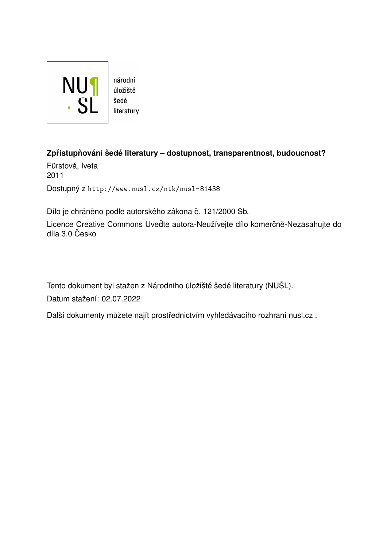

národní úložiště literatury

#### **Zpr´ıstup ˇ nov ˇ an´ı ´ sed ˇ e literatury – dostupnost, transparentnost, budoucnost? ´**

Fürstová, Iveta 2011 Dostupný z <http://www.nusl.cz/ntk/nusl-81438>

Dílo je chráněno podle autorského zákona č. 121/2000 Sb.

Licence Creative Commons Uveďte autora-Neužívejte dílo komerčně-Nezasahujte do díla 3.0 Česko

Tento dokument byl stažen z Národního úložiště šedé literatury (NUŠL).

Datum stažení: 02.07.2022

Další dokumenty můžete najít prostřednictvím vyhledávacího rozhraní [nusl.cz](http://www.nusl.cz) .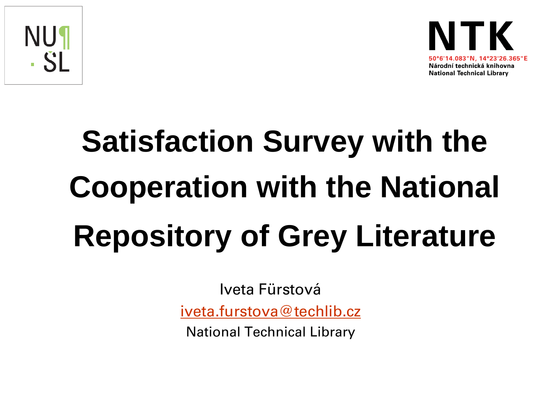



# **Satisfaction Survey with the Cooperation with the National Repository of Grey Literature**

Iveta Fürstová

[iveta.furstova@techlib.cz](mailto:iveta.furstova@techlib.cz)

National Technical Library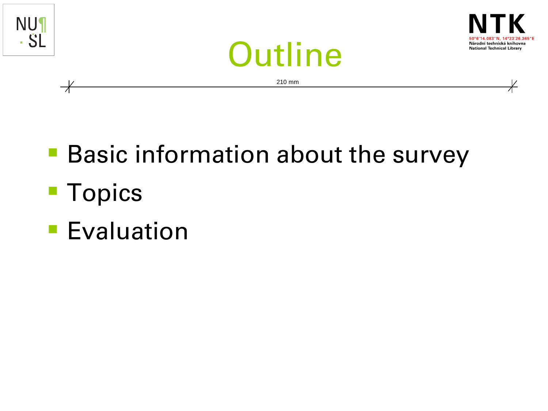

- **Basic information about the survey Topics**
- **Evaluation**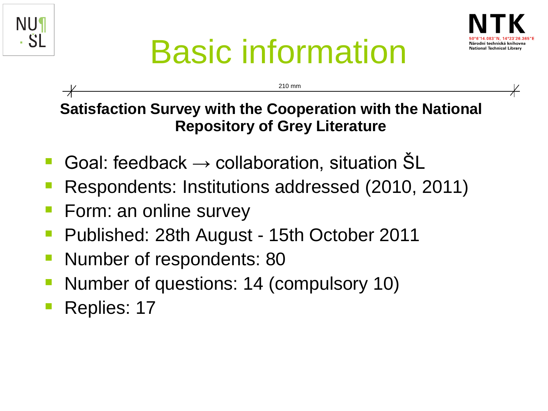



## Basic information

210 mm

**Satisfaction Survey with the Cooperation with the National Repository of Grey Literature**

- Goal: feedback  $\rightarrow$  collaboration, situation  $SL$
- Respondents: Institutions addressed (2010, 2011)
- Form: an online survey
- **Published: 28th August 15th October 2011**
- **Number of respondents: 80**
- Number of questions: 14 (compulsory 10)
- Replies: 17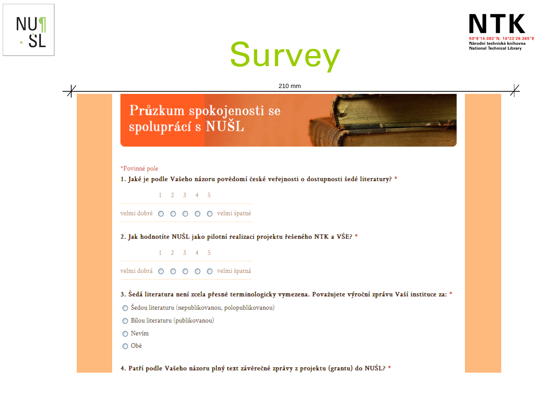





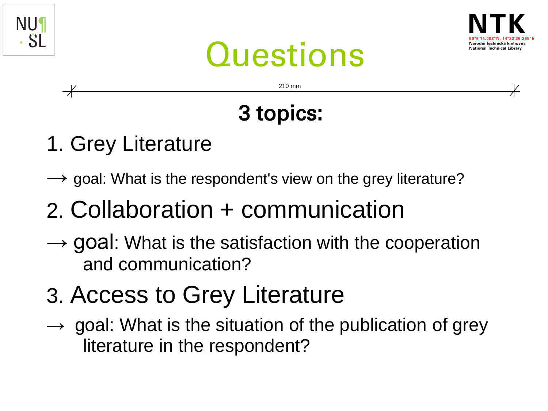





210 mm

### 3 topics:

- 1. Grey Literature
- $\rightarrow$  goal: What is the respondent's view on the grey literature?

### 2. Collaboration + communication

- $\rightarrow$  goal: What is the satisfaction with the cooperation and communication?
- 3. Access to Grey Literature
- $\rightarrow$  goal: What is the situation of the publication of grey literature in the respondent?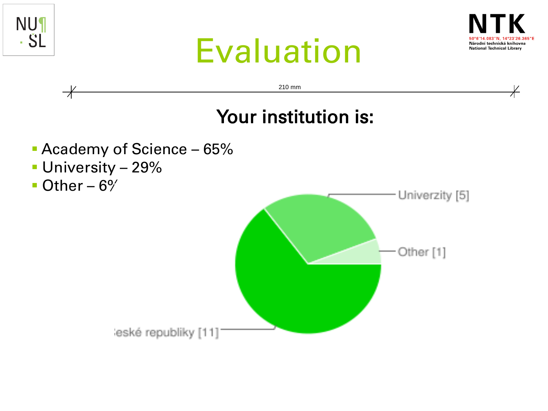





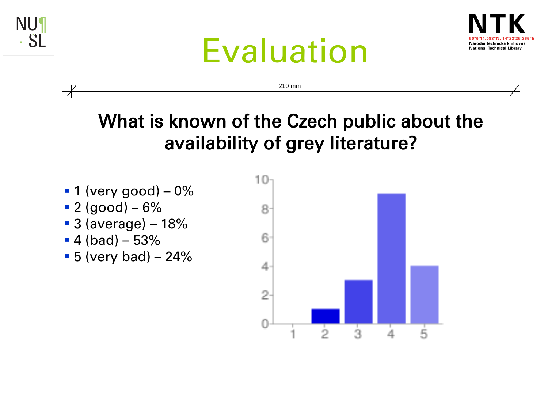





210 mm

#### What is known of the Czech public about the availability of grey literature?

- $\blacksquare$  1 (very good) 0%
- $-2$  (good) 6%
- 3 (average) 18%
- $-4$  (bad)  $-53%$
- $\bullet$  5 (very bad) 24%

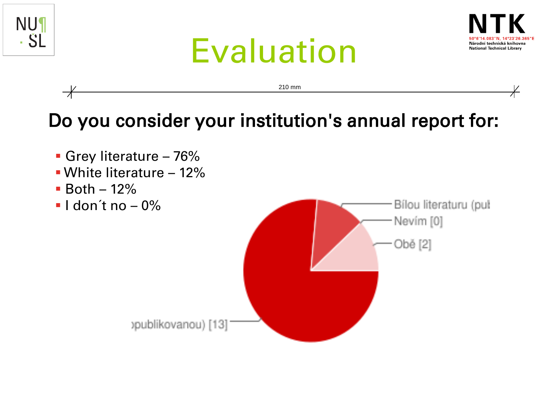







publikovanou) [13]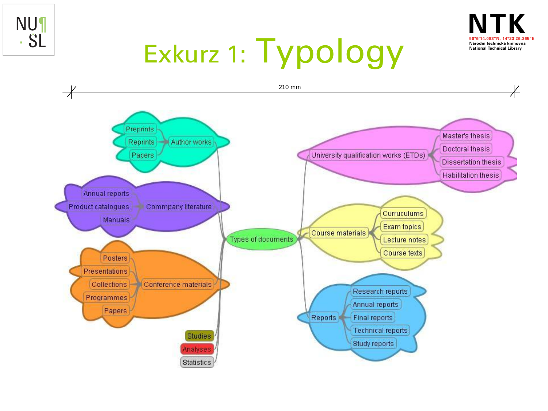



## Exkurz 1: Typology

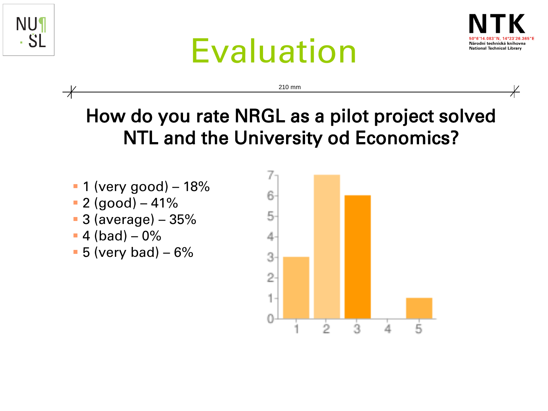





#### How do you rate NRGL as a pilot project solved NTL and the University od Economics?

210 mm

- $-1$  (very good) 18%
- $-2$  (good) 41%
- 3 (average) 35%
- $-4$  (bad)  $-0\%$
- $-5$  (very bad)  $-6\%$

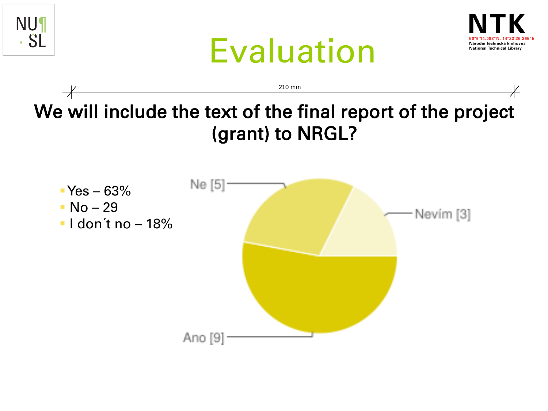





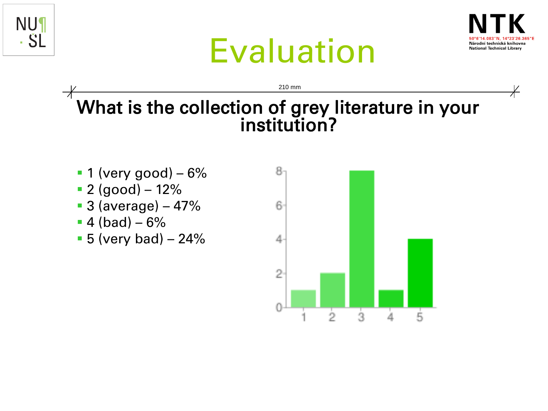



## Evaluation

210 mm

### What is the collection of grey literature in your institution?

- $\blacksquare$  1 (very good) 6%
- $-2$  (good) 12%
- 3 (average) 47%
- $-4$  (bad) 6%
- $-5$  (very bad)  $-24%$

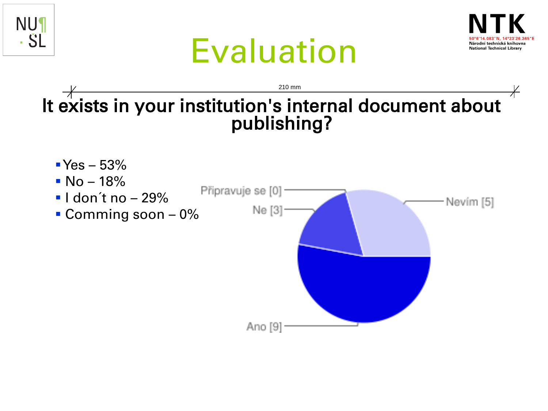







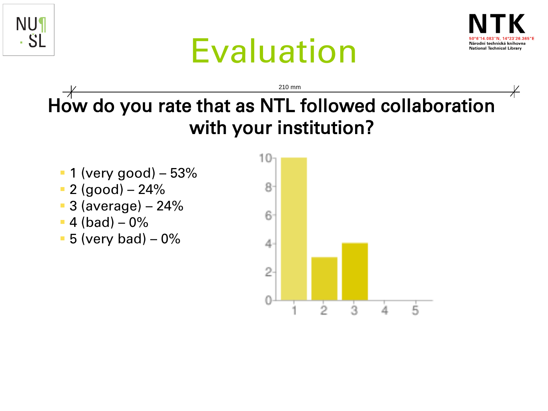





#### How do you rate that as NTL followed collaboration with your institution? 210 mm

- $-1$  (very good) 53%
- 2 (good) 24%
- 3 (average) 24%
- $-4$  (bad)  $-0\%$
- $-5$  (very bad)  $-0\%$

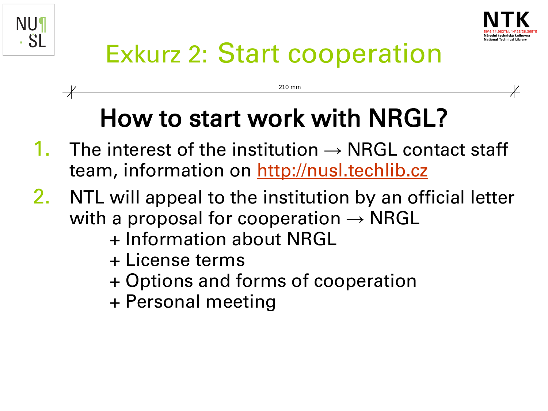



### Exkurz 2: Start cooperation

210 mm

### How to start work with NRGL?

- 1. The interest of the institution  $\rightarrow$  NRGL contact staff team, information on [http://nusl.techlib.cz](http://nusl.techlib.cz/)
- 2. NTL will appeal to the institution by an official letter with a proposal for cooperation  $\rightarrow$  NRGL
	- + Information about NRGL
	- + License terms
	- + Options and forms of cooperation
	- + Personal meeting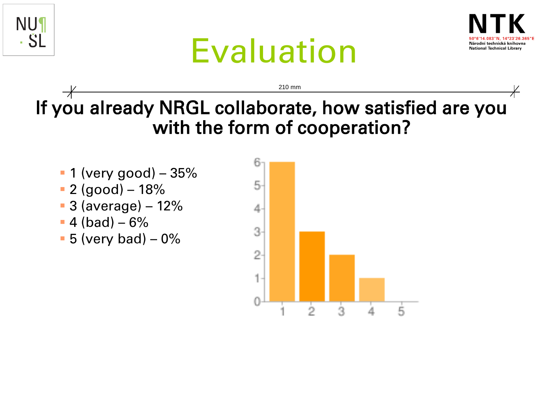





If you already NRGL collaborate, how satisfied are you with the form of cooperation?

210 mm

- $\blacksquare$  1 (very good) 35%
- 2 (good) 18%
- 3 (average) 12%
- $-4$  (bad)  $-6\%$
- $\blacksquare$  5 (very bad) 0%

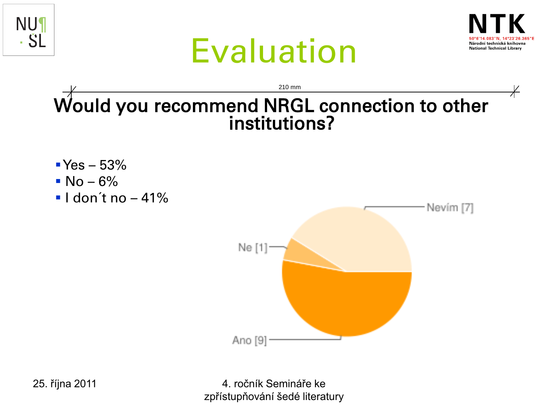





Would you recommend NRGL connection to other institutions? 210 mm

- $Yes 53%$
- $N_0 6\%$
- $\blacksquare$ I don't no  $-41\%$



4. ročník Semináře ke zpřístupňování šedé literatury